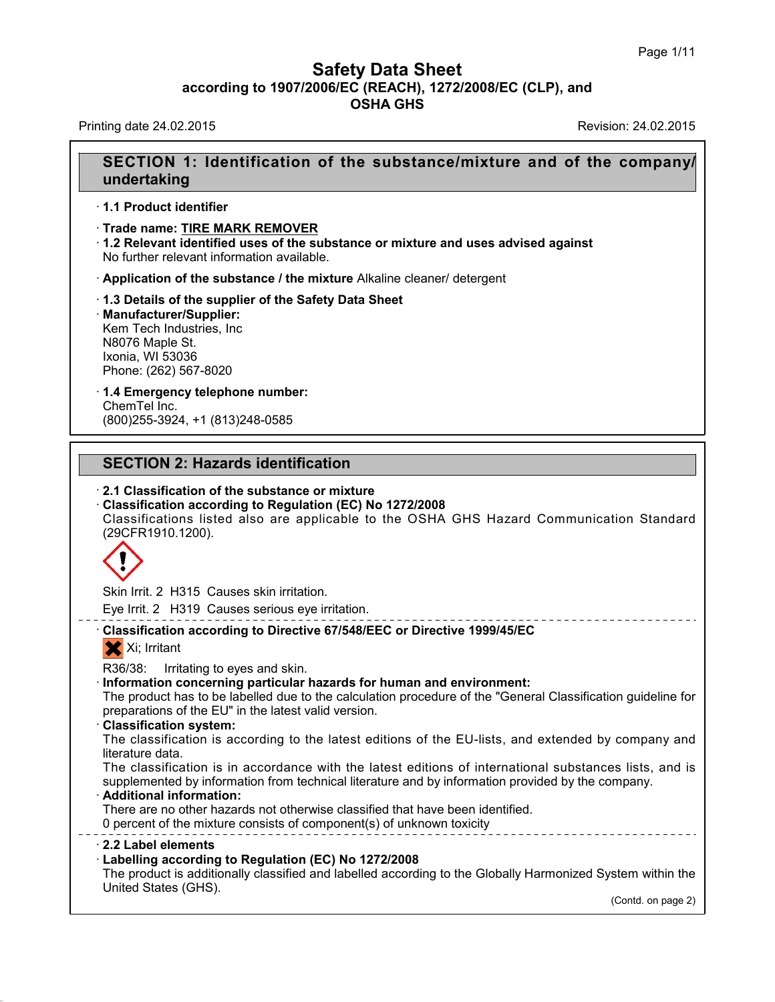### **Safety Data Sheet<br>006/EC (REACH), 1272/2008/EC (CLP),<br>OSHA GHS according to 1907/2006/EC (REACH), 1272/2008/EC (CLP), and<br>
Data Sheet (CLP), and<br>
OSHA GHS Safety Data Sheet**<br>according to 1907/2006/EC (REACH), 1272/2008/EC (CLP), and<br>OSHA GHS **Safety Data Sheet<br>
according to 1907/2006/EC (REACH), 1272/2008/EC (CLP), and<br>
OSHA GHS<br>
Revision: 24.02.2015<br>
Revision: 24.02.2015**

### **SECTION 1: Identification of the substance/mixture and of the company/ undertaking**

- · **1.1 Product identifier**
- · **Trade name: TIRE MARK REMOVER**

· **1.2 Relevant identified uses of the substance or mixture and uses advised against** No further relevant information available.

· **Application of the substance / the mixture** Alkaline cleaner/ detergent

· **1.3 Details of the supplier of the Safety Data Sheet** · **Manufacturer/Supplier:** Kem Tech Industries, Inc N8076 Maple St. Ixonia, WI 53036 Phone: (262) 567-8020

### · **1.4 Emergency telephone number:** ChemTel Inc. **1.4 Emergency telephone number:**<br>ChemTel Inc.<br>(800)255-3924, +1 (813)248-0585<br>**SECTION 2: Hazards identification**<br>2.1 Classification of the substance or mixture

(800)255-3924, +1 (813)248-0585

# **SECTION 2: Hazards identification<br>
· 2.1 Classification of the substance or mixture<br>
· Classification according to Regulation (EC) No 1272/2008**

**SECTION 2: Hazards identification<br>
· 2.1 Classification of the substance or mixture<br>
· Classification according to Regulation (EC) No 1272/2008<br>
Classifications listed also are applicable to the OSHA GHS H<br>
(29CFR1910.120** SECTION 2: Hazards identification<br>2.1 Classification of the substance or mixture<br>Classification according to Regulation (EC) No 1272/2008<br>Classifications listed also are applicable to the OSHA GHS Hazard Communication Stan (29CFR1910.1200).



Eye Irrit. 2 H319 Causes serious eye irritation.

# Eye Irrit. 2 H315 Causes skin irritation.<br>
Eye Irrit. 2 H319 Causes serious eye irritation.<br> **Classification according to Directive 67/548/EEC or Directive 1999/45/EC**<br>
Xi; Irritant Skin Irrit. 2 H315 Causes skin irritation.<br>
Eye Irrit. 2 H319 Causes serious eye irritation.<br>
Classification according to Directive 67/548/EEC or Directive 1999/45/EC<br>
Xi; Irritant<br>
R36/38: Irritating to eyes and skin.

R36/38: Irritation concerning to Directive 67/548/EEC or Directive 1999/45/EC<br> **Classification according to Directive 67/548/EEC or Directive 1999/45/EC**<br>
Xi; Irritating to eyes and skin.<br> **Information concerning particula** Classification according to Directive 67/548/EEC or Directive 1999/45/EC<br>
Xi; Irritant<br>
R36/38: Irritating to eyes and skin.<br>
Information concerning particular hazards for human and environment:<br>
The product has to be labe X; Irritant<br>
R36/38: Irritating to eyes and skin.<br> **Information concerning particular hazards for human an**<br>
The product has to be labelled due to the calculation proced<br>
preparations of the EU" in the latest valid version R36/38: Irritating to eyes and skin.<br>Information concerning particular hazards for human and environment:<br>The product has to be labelled due to the calculation procedure of the "General Classification guideline for<br>prepara Information concerning pa<br>The product has to be labelle<br>preparations of the EU" in th<br>Classification system:<br>The classification is accor<br>literature data.<br>The classification is in accor

The product has to be labelled due to the calculation procedure of the "General Classification guideline for<br>preparations of the EU" in the latest valid version.<br>**Classification system:**<br>The classification is according to supplemented by information is according to the latest editions of the EU-lists, and extended by company and<br>literature data.<br>The classification is in accordance with the latest editions of international substances lists, The classification is according to the latest editions of the EU-lists, and extende<br>literature data.<br>The classification is in accordance with the latest editions of international subst<br>supplemented by information from tech literature data.<br>The classification is in accordance with the latest editions of international supplemented by information from technical literature and by information provided<br>**Additional information:**<br>There are no other supplemented by information from technical literature and by information provided by the company.<br> **2.2 Label elements**<br> **2.2 Label elements**<br> **2.2 Label elements**<br> **2.2 Label elements**<br> **2.2 Label elements**<br> **2.2 Label el** 

40.1.0

**Example 12 and 13 and 13 and 13 and 13 and 13 and 13 and 13 and 13 and 13 and 13 and 13 and 13 and 13 and 13 and 13 and 13 and 13 and 13 and 13 and 13 and 13 and 13 and 13 and 13 and 13 and 13 and 13 and 13 and 13 and 13** There are no other hazards not otherwise classified that have been identified.<br>
There are no other hazards not otherwise classified that have been identified.<br> **2.2 Label elements**<br> **Labelling according to Regulation (EC)** One percent of the mixture consists<br>
2.2 Label elements<br>
2.2 Label elements<br>
Labelling according to Regulat<br>
The product is additionally classif<br>
United States (GHS). stem within the<br>(Contd. on page 2)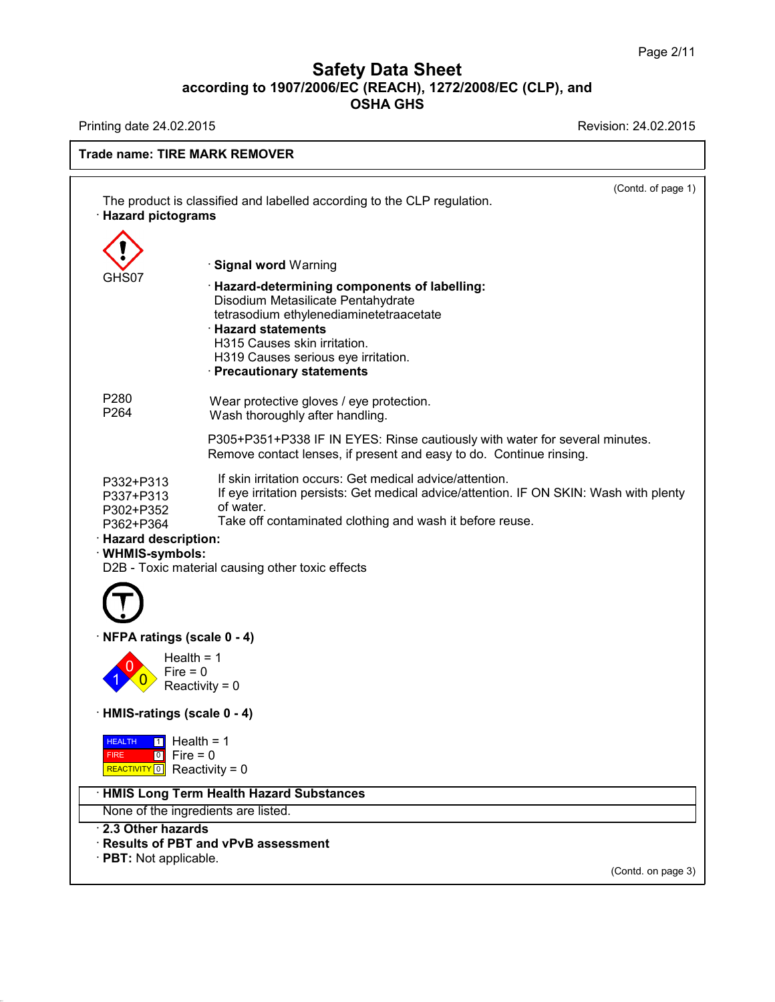# **Safety Data Sheet**<br> **according to 1907/2006/EC (REACH), 1272/2008/EC (CLP), and**<br> **OSHA GHS** t<mark>y Data Sheet</mark><br>c (REACH), 1272/2008/E<br>OSHA GHS Safety Data Sheet<br>according to 1907/2006/EC (REACH), 1272/2008/EC (CLP), and<br>OSHA GHS<br>Revision: 24.02.2015<br>Revision: 24.02.2015

40.1.0

| <b>Filliting date 24.02.2010</b>                                                                                                                | NUMBIUM. 24.02.2019                                                                                                                                                                                                                                                                           |  |  |
|-------------------------------------------------------------------------------------------------------------------------------------------------|-----------------------------------------------------------------------------------------------------------------------------------------------------------------------------------------------------------------------------------------------------------------------------------------------|--|--|
| <b>Trade name: TIRE MARK REMOVER</b>                                                                                                            |                                                                                                                                                                                                                                                                                               |  |  |
| <b>Hazard pictograms</b>                                                                                                                        | (Contd. of page 1)<br>The product is classified and labelled according to the CLP regulation.                                                                                                                                                                                                 |  |  |
| GHS07                                                                                                                                           | <b>Signal word Warning</b><br>· Hazard-determining components of labelling:<br>Disodium Metasilicate Pentahydrate<br>tetrasodium ethylenediaminetetraacetate<br><b>Hazard statements</b><br>H315 Causes skin irritation.<br>H319 Causes serious eye irritation.<br>· Precautionary statements |  |  |
| P280<br>P264                                                                                                                                    | Wear protective gloves / eye protection.<br>Wash thoroughly after handling.<br>P305+P351+P338 IF IN EYES: Rinse cautiously with water for several minutes.<br>Remove contact lenses, if present and easy to do. Continue rinsing.                                                             |  |  |
| P332+P313<br>P337+P313<br>P302+P352<br>P362+P364<br><b>Hazard description:</b><br>· WHMIS-symbols:                                              | If skin irritation occurs: Get medical advice/attention.<br>If eye irritation persists: Get medical advice/attention. IF ON SKIN: Wash with plenty<br>of water.<br>Take off contaminated clothing and wash it before reuse.<br>D2B - Toxic material causing other toxic effects               |  |  |
| NFPA ratings (scale 0 - 4)<br>Fire $= 0$                                                                                                        | Health = $1$<br>Reactivity = $0$                                                                                                                                                                                                                                                              |  |  |
| · HMIS-ratings (scale 0 - 4)<br>$\boxed{1}$ Health = 1<br><b>HEALTH</b><br>$\boxed{0}$ Fire = 0<br><b>FIRE</b><br>REACTIVITY 0 Reactivity = $0$ |                                                                                                                                                                                                                                                                                               |  |  |
|                                                                                                                                                 | · HMIS Long Term Health Hazard Substances                                                                                                                                                                                                                                                     |  |  |
| 2.3 Other hazards<br>$\cdot$ PBT: Not applicable.                                                                                               | None of the ingredients are listed.<br>· Results of PBT and vPvB assessment<br>(Contd. on page 3)                                                                                                                                                                                             |  |  |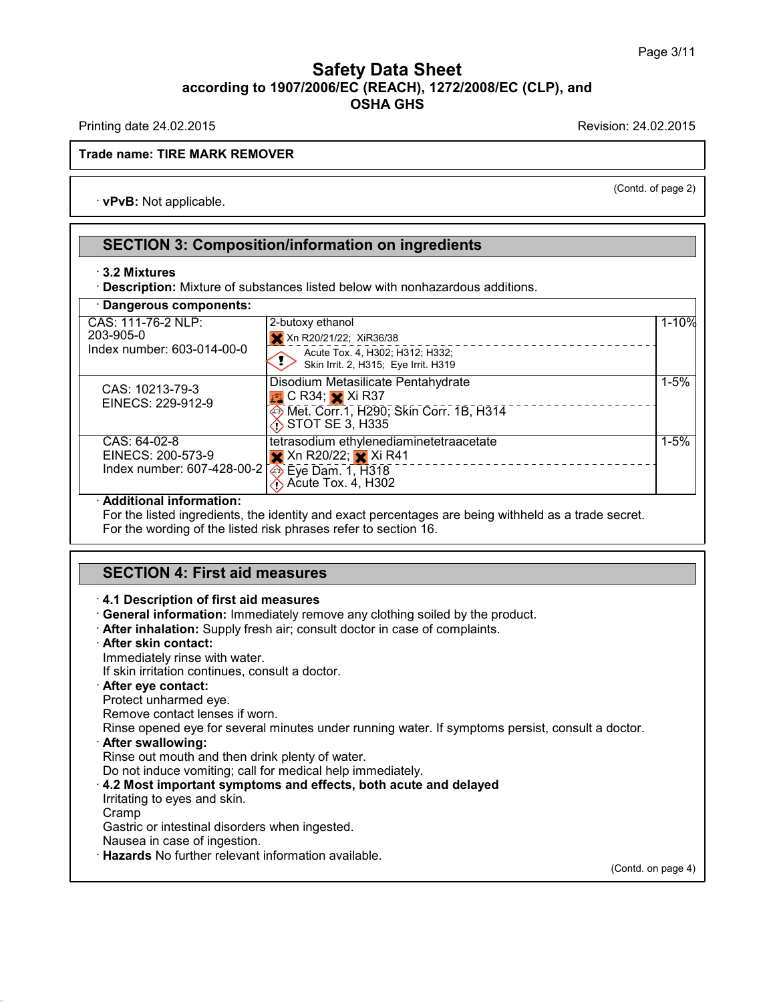### **Safety Data Sheet<br>006/EC (REACH), 1272/2008/EC (CLP),<br>OSHA GHS according to 1907/2006/EC (REACH), 1272/2008/EC (CLP), and<br>
Data Sheet (CLP), and<br>
OSHA GHS** t<mark>y Data Sheet</mark><br>c (REACH), 1272/2008/E<br>OSHA GHS Safety Data Sheet<br>according to 1907/2006/EC (REACH), 1272/2008/EC (CLP), and<br>OSHA GHS<br>Revision: 24.02.2015<br>Revision: 24.02.2015

 $\overline{$ <br>
(Contd. of page 2)

### **Trade name: TIRE MARK REMOVER** Finally date 24.02.2015<br> **de name: TIRE MARK REMO<br>
· <b>vPvB:** Not applicable.

# **SECTION 3: Composition/information on ingredients**<br>
SECTION 3: Composition/information on ingredients<br>
3.2 Mixtures **PECTION 3: Composition/information on ingredients<br>
3.2 Mixtures<br>
<b>BECTION 3: Composition/information on ingredients**<br> **BECTION 3: Composition/information on ingredients**<br> **BECTION 3: Composition/information on ingredients**

| $\cdot$ 3.2 Mixtures<br>· Description: Mixture of substances listed below with nonhazardous additions.<br>Dangerous components: |                                                                                                                                                                                   |          |  |
|---------------------------------------------------------------------------------------------------------------------------------|-----------------------------------------------------------------------------------------------------------------------------------------------------------------------------------|----------|--|
|                                                                                                                                 |                                                                                                                                                                                   |          |  |
| CAS: 10213-79-3<br>EINECS: 229-912-9                                                                                            | Disodium Metasilicate Pentahydrate<br>$\Box$ C R34; $\times$ Xi R37<br><b>EXAMPLE 2014</b> Met. Corr. 1, H290; Skin Corr. 1B, H314<br><i>∛</i> े STOT SE 3, H335                  | $1 - 5%$ |  |
| CAS: 64-02-8<br>EINECS: 200-573-9<br>Index number: 607-428-00-2                                                                 | tetrasodium ethylenediaminetetraacetate<br>$\mathsf{\times}$ Xn R20/22; $\mathsf{\times}$ Xi R41<br>----------------------<br>→ Eye Dam. 1, H318<br>$\Diamond$ Acute Tox. 4, H302 | $1 - 5%$ |  |

**Additional information:**<br>For the listed ingredients, the identity and exact percentages<br>For the wording of the listed risk phrases refer to section 16.<br>**SECTION 4: First aid measures**<br>4.1 Description of first aid measures

- **General information:** Immediately remove any clothing soiled by the product. **SECTION 4: First aid measures**<br> **4.1 Description of first aid measures**<br> **Ceneral information:** Immediately remove any clothing soiled by the product.<br> **After inhalation:** Supply fresh air; consult doctor in case of compl 4.1 Description of first aid measures<br>General information: Immediately remover<br>After inhalation: Supply fresh air; consult<br>After skin contact:<br>Immediately rinse with water.<br>If skin irritation continues, consult a doctor
- **EXECTS: EXECTS ANDESTED CONTINUES CONTINUES CONTINUES CONTINUES After inhalation:** Supply fresh air; consult doctor in case **After skin contact:**<br>
Immediately rinse with water.<br>
If skin irritation continues, consult a d
- 

**After skin contact:**<br>
Immediately rinse with water.<br>
If skin irritation continues, consult a doctor.<br> **After eye contact:**<br>
Protect unharmed eye.<br>
Remove contact lenses if worn.

Rinse opened eye for several minutes under running water. If symptoms persist, consult a doctor.<br>  $\cdot$  After swallowing: Immediately rinse with water.<br>
If skin irritation continues, consult a doctor.<br> **After eye contact:**<br>
Protect unharmed eye.<br>
Remove contact lenses if worn.<br>
Rinse opened eye for several minutes under running water. If symp Protect unharmed eye.<br>
Remove contact lenses if worn.<br>
Rinse opened eye for several minutes under running water. If symptoms persist, c<br> **After swallowing:**<br>
Rinse out mouth and then drink plenty of water.<br>
Do not induce v

Do not induce vomiting; call for medical help immediately.

Rinse out mouth and then drink plenty of water.<br>Do not induce vomiting; call for medical help imi<br>4.2 Most important symptoms and effects, be<br>Irritating to eyes and skin.  $\cdot$  4.2 Most important symptoms and effects, both acute and delayed

Cramp

40.1.0

Gastric or intestinal disorders when ingested.<br>Nausea in case of ingestion.<br>Bridge Hazards No further relevant information available.

(Contd. on page 4)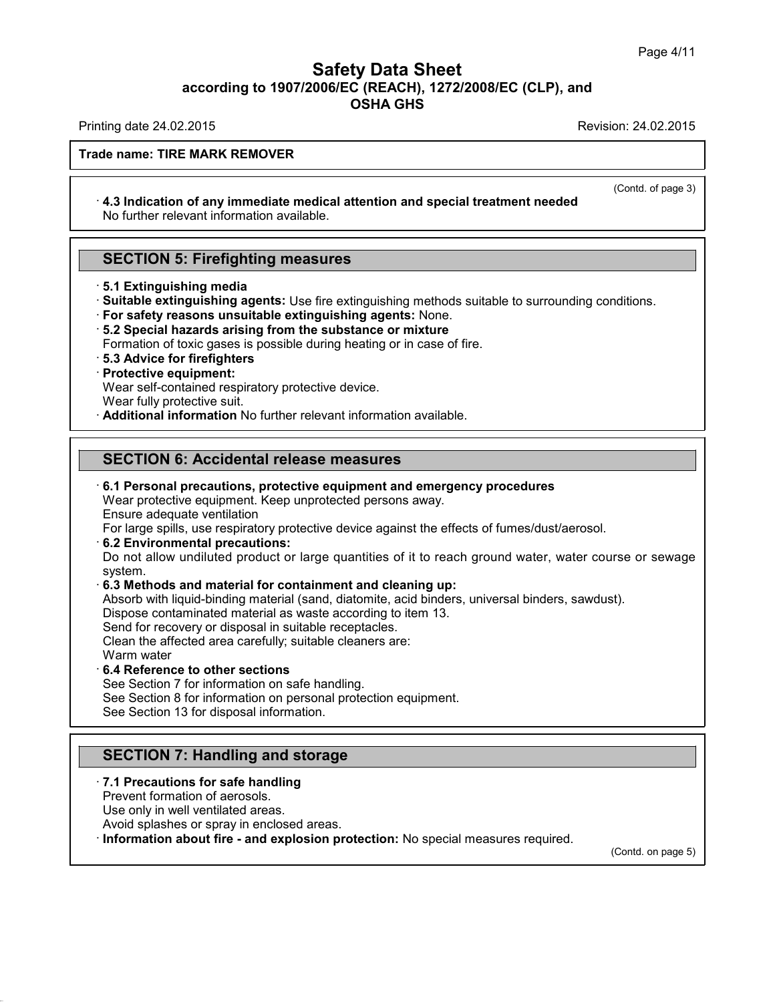### **Safety Data Sheet<br>006/EC (REACH), 1272/2008/EC (CLP),<br>OSHA GHS according to 1907/2006/EC (REACH), 1272/2008/EC (CLP), and<br>
Data Sheet (CLP), and<br>
OSHA GHS Safety Data Sheet**<br>according to 1907/2006/EC (REACH), 1272/2008/EC (CLP), and<br>OSHA GHS Safety Data Sheet<br>according to 1907/2006/EC (REACH), 1272/2008/EC (CLP), and<br>OSHA GHS<br>Revision: 24.02.2015<br>Revision: 24.02.2015

 $\overline{$ <br>
(Contd. of page 3)

### **Trade name: TIRE MARK REMOVER**

## **Example 2.122.23.13**<br> **Example: TIRE MARK REMOVER**<br> **4.3 Indication of any immediate medical attention and special treatment needed**<br>
No further relevant information available. No further REMOVER<br>
1.3 Indication of any immediate medical attenti<br>
No further relevant information available. **4.3 Indication of any immediate medical attention and No further relevant information available.<br>SECTION 5: Firefighting measures<br>5.1 Extinguishing media**

- 
- No further relevant information available.<br>
<br>
<br> **SECTION 5: Firefighting measures**<br>  **5.1 Extinguishing media**<br>
 Suitable extinguishing agents: Use fire extinguishing methods suitable to surrounding conditions.<br>
 For s **SECTION 5: Firefighting measures**<br>
5.1 Extinguishing media<br>
3.1 Extinguishing agents: Use fire extinguishing methods suitable to surrounding conditions.<br>
1. For safety reasons unsuitable extinguishing agents: None.<br>
5.2 S Formation of toxic gases is use fire extinguishing methods suitable to surrour<br>
For safety reasons unsuitable extinguishing agents: None.<br>
Formation of toxic gases is possible during heating or in case of fire.<br> **Formation**
- 
- 
- Formation of toxic gases is possible during heating or in case of fire.<br> **· 5.3 Advice for firefighters**<br> **· Protective equipment:**<br>
Wear self-contained respiratory protective device.<br>
Wear fully protective suit. **5.2 Special hazards arising from the substance or mixture**<br>Formation of toxic gases is possible during heating or in case of fi<br>**5.3 Advice for firefighters**<br>Protective equipment:<br>Wear self-contained respiratory protectiv **Brauding 19 Separation** from the substance or mixture<br>
Formation of toxic gases is possible during heating or in case of fire.<br> **Brauding 19 Separation**<br> **Protective equipment:**<br>
Wear self-contained respiratory protective
- 

### **Protective equipment:**<br>
Wear self-contained respiratory protective device.<br>
Wear fully protective suit.<br> **Additional information No further relevant information available<br>
SECTION 6: Accidental release measures<br>
6.1 Perso** • **Additional Information No further relevant Information available.**<br> **SECTION 6: Accidental release measures**<br>
• **6.1 Personal precautions, protective equipment and emergency procedures**<br>
Wear protective equipment. Keep **SECTION 6: Accidental release measures<br>6.1 Personal precautions, protective equipment and emergency proce**<br>Wear protective equipment. Keep unprotected persons away.<br>Ensure adequate ventilation<br>For large spills, use respir

SECTION 6: Accidental release measures<br>  $\cdot$  6.1 Personal precautions, protective equipment and emergency procedures<br>
Wear protective equipment. Keep unprotected persons away.<br>
Ensure adequate ventilation<br>
For large spill

For Personal precautions, protective equipment and emergency procedures<br>
The active equipment. Keep unprotected persons away.<br>
Ensure adequate ventilation<br>
For large spills, use respiratory protective device against the ef 6.1 Personal precautions, protective equipment and emergency procedures<br>Wear protective equipment. Keep unprotected persons away.<br>Ensure adequate ventilation<br>For large spills, use respiratory protective device against the system. **Ensure adequate ventiliation**<br> **For large spills, use respiratory protective device against the effects of fumes/d**<br> **6.2 Environmental precautions:**<br> **Do not allow undilited product or large quantities of it to reach gro** For large spills, use respiratory protective device against the effects of fumes/dust/aerosol.<br>**6.2 Environmental precautions:**<br>Do not allow undiluted product or large quantities of it to reach ground water, water course o 6.2 Environmental precautions:<br>Do not allow undiluted product or large quantities of it to reach ground wat<br>system.<br>6.3 Methods and material for containment and cleaning up:<br>Absorb with liquid-binding material (sand, diato Do not allow undiluted product or large quantities of it to<br>system.<br>**6.3 Methods and material for containment and cleaning**<br>Absorb with liquid-binding material (sand, diatomite, acid bir<br>Dispose contaminated material as wa

system.<br>
6.3 Methods and material for containment and cleaning up:<br>
Absorb with liquid-binding material (sand, diatomite, acid binders, unive<br>
Dispose contaminated material as waste according to item 13.<br>
Send for recovery

**6.3 Methods and materia**<br>Absorb with liquid-binding<br>Dispose contaminated ma<br>Send for recovery or dispo<br>Clean the affected area ca<br>Warm water<br>**6.4 Reference to other s**<br>See Section 7 for informa Absorb With Ilquid-Dinding material (sand, d<br>Dispose contaminated material as waste ac<br>Send for recovery or disposal in suitable rec<br>Clean the affected area carefully; suitable c<br>Warm water<br>6.4 Reference to other sections<br> Dispose contaminated material as waste according to ite<br>Send for recovery or disposal in suitable receptacles.<br>Clean the affected area carefully; suitable cleaners are:<br>Warm water<br>6.4 Reference to other sections<br>See Sectio

40.1.0

Send for recovery or disposal in suitable receptacles.<br>Clean the affected area carefully; suitable cleaners are:<br>Warm water<br>6.4 Reference to other sections<br>See Section 7 for information on personal protection equipment.<br>Se Warm water<br> **6.4 Reference to other sections**<br>
See Section 7 for information on safe handling.<br>
See Section 8 for information on personal protection equipment.<br>
See Section 13 for disposal information. **6.4 Reference to other sections**<br>
See Section 7 for information on safe handling.<br>
See Section 8 for information on personal protection equi<br>
See Section 13 for disposal information.<br> **SECTION 7: Handling and storage**<br>
7.

### See Section 13 for disposal information.<br> **SECTION 7: Handling and storage**<br> **7.1 Precautions for safe handling**<br>
Prevent formation of aerosols.<br>
Use only in well ventilated areas. **SECTION 7: Handling and storantical SECTION 7: Handling and storantical Prevent formation of aerosols.**<br>The vent formation of aerosols.<br>Use only in well ventilated areas.<br>Avoid splashes or spray in enclosed are **SECTION 7: Handling and storage**<br>**7.1 Precautions for safe handling**<br>Prevent formation of aerosols.<br>Use only in well ventilated areas.<br>Avoid splashes or spray in enclosed areas.<br>Information about fire - and explosion prot

**SECTION 7: Handling and storage**<br> **Avoid splashes or spray in enclosed areas.**<br>
Avoid splashes or spray in enclosed areas.<br> **Avoid splashes or spray in enclosed areas.**<br> **Conformation about fire - and explosion protection** 

(Contd. on page 5)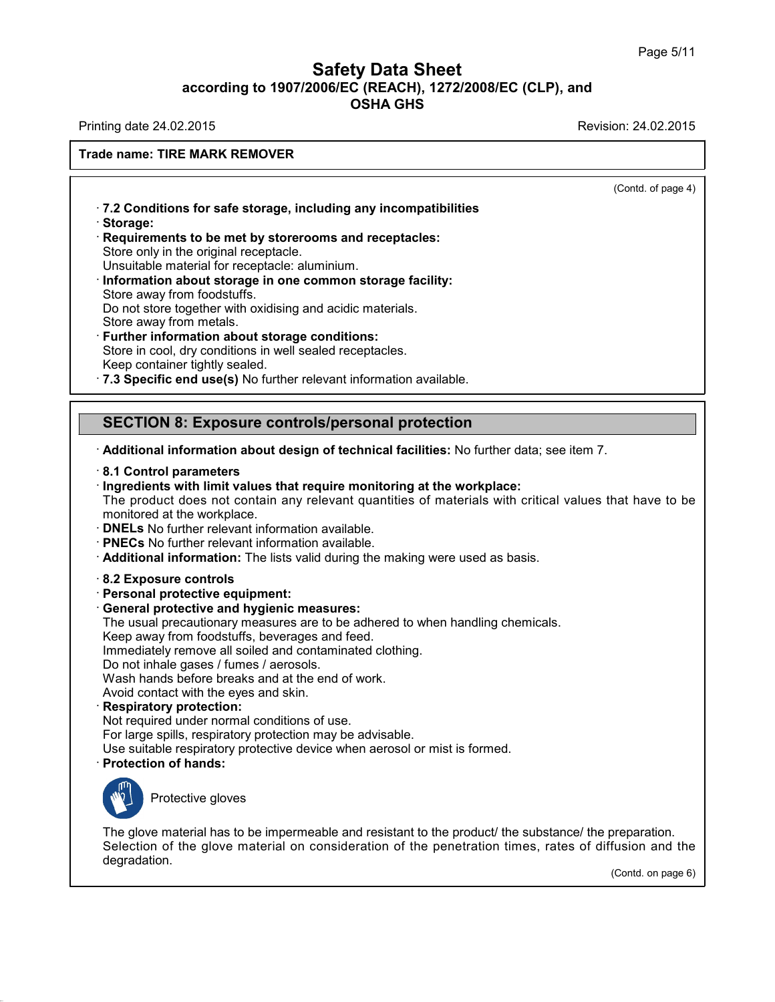### **Safety Data Sheet<br>006/EC (REACH), 1272/2008/EC (CLP),<br>OSHA GHS according to 1907/2006/EC (REACH), 1272/2008/EC (CLP), and<br>
OSHA GHS
COREE AREAGES Safety Data Sheet**<br>according to 1907/2006/EC (REACH), 1272/2008/EC (CLP), and<br>OSHA GHS Safety Data Sheet<br>according to 1907/2006/EC (REACH), 1272/2008/EC (CLP), and<br>OSHA GHS<br>Revision: 24.02.2015<br>Revision: 24.02.2015

### **Trade name: TIRE MARK REMOVER**

 $\overline{$ <br>
(Contd. of page 4)

**Example 18 AMARK REMOVER<br>17.2 Conditions for safe storage, including any incompatibilities<br>1. Requirements to be met by storerooms and receptacles:** · **Storage: 7.2 Conditions for safe storage, including any incompatibilitie**<br>**· Storage:**<br>**Requirements to be met by storerooms and receptacles:**<br>Store only in the original receptacle.<br>Unsuitable material for receptacle: aluminium. 7.2 Conditions for safe storage, including<br>Storage:<br>Requirements to be met by storerooms a<br>Store only in the original receptacle.<br>Unsuitable material for receptacle: aluminiu T.2 Conditions for safe storage, including any incompatibilities<br>
Storage:<br>
Requirements to be met by storerooms and receptacles:<br>
Store only in the original receptacle.<br>
Unsuitable material for receptacle: aluminium.<br> **In** 

- **Requirements to be met by storerooms and receptacles:**<br>Store only in the original receptacle.<br>Unsuitable material for receptacle: aluminium.<br>Information about storage in one common storage facility:<br>Store away from foodst Requirements to be met by storerooms and receptacles:<br>Store only in the original receptacle.<br>Unsuitable material for receptacle: aluminium.<br>Information about storage in one common storage facility:<br>Store away from foodstuf Store only in the original receptacle.<br>
Unsuitable material for receptacle: aluminium.<br> **Turformation about storage in one common storage f**<br>
Store away from foodstuffs.<br>
Do not store together with oxidising and acidic mat Information about storage in one common storage facility<br>Store away from foodstuffs.<br>Do not store together with oxidising and acidic materials.<br>Store away from metals.<br>Further information about storage conditions:<br>Store in
- Store away from foodstuffs.<br>
Do not store together with oxidising and acidic materials.<br>
Store away from metals.<br> **Further information about storage conditions:**<br>
Store in cool, dry conditions in well sealed receptacles.<br> Further information about storage conditions:<br>Store in cool, dry conditions in well sealed receptacles.<br>Keep container tightly sealed.<br>7.3 Specific end use(s) No further relevant information available.<br>SECTION 8: Exposure

· **Additional information about design of technical facilities:** No further data; see item 7. · **8.1 Control parameters**

- 
- 

**SECTION 8: Exposure controls/personal protection**<br>
• Additional information about design of technical facilities: No further data; see<br>
• 8.1 Control parameters<br>
• Ingredients with limit values that require monitoring at **Additional information about design of technical facilities:** No further data; see item 7.<br> **8.1 Control parameters**<br> **Ingredients with limit values that require monitoring at the workplace:**<br>
The product does not contain Followial information about design of technical facilities: No further data; see item 7.<br> **8.1 Control parameters**<br>
Fingredients with limit values that require monitoring at the workplace:<br>
The product does not contain an

- 
- 
- **DNELs** No further relevant information a<br>• **PNECs** No further relevant information a<br>• **Additional information:** The lists valid c<br>• **8.2 Exposure controls**<br>• **Personal protective equipment:**<br>• **General protective and h** • **PNECs** No further relevant information available.<br>• **Additional information:** The lists valid during the ma<br>• 8.2 **Exposure controls**<br>• **Personal protective equipment:**<br>• **General protective and hygienic measures:**<br>• Th Additional information: The lists valid during the making were used as basis.<br>
8.2 Exposure controls<br>
Personal protective equipment:<br>
General protective and hygienic measures:<br>
The usual precautionary measures are to be ad
- 
- 
- 
- Reflective controls<br>
Reflective equipment:<br>
Seneral protective equipment:<br>
General protective and hygienic measures:<br>
The usual precautionary measures are to be adhered to when<br>
Keep away from foodstuffs, beverages and fee 8.2 Exposure controls<br>Personal protective equipment:<br>General protective and hygienic measures:<br>The usual precautionary measures are to be adhered to when handl<br>Keep away from foodstuffs, beverages and feed.<br>Immediately rem General protective and hygienic measures:<br>The usual precautionary measures are to be adhered to when ha<br>Keep away from foodstuffs, beverages and feed.<br>Immediately remove all soiled and contaminated clothing.<br>Do not inhale

**Personal protective equipment:**<br> **General protective and hygienic measures:**<br>
The usual precautionary measures are to be adh<br>
Keep away from foodstuffs, beverages and feed.<br>
Immediately remove all soiled and contaminated<br>

- 
- 

The usual precautionary measures are to be adher<br>Keep away from foodstuffs, beverages and feed.<br>Immediately remove all soiled and contaminated clo<br>Do not inhale gases / fumes / aerosols.<br>Wash hands before breaks and at the Immediately remove all soiled and contaminated clothing.<br>Do not inhale gases / fumes / aerosols.<br>Wash hands before breaks and at the end of work.<br>Avoid contact with the eyes and skin.<br>**Respiratory protection:**<br>Not required Do not inhale gases / fumes / aerosols.<br>
Wash hands before breaks and at the end of work.<br>
Avoid contact with the eyes and skin.<br> **Respiratory protection:**<br>
Not required under normal conditions of use.<br>
For large spills, r Wash hands before breaks and at the end of work.<br>
Avoid contact with the eyes and skin.<br> **Respiratory protection:**<br>
Not required under normal conditions of use.<br>
For large spills, respiratory protection may be advisable.<br> Protective gloves<br>Protective gloves<br>Protective gloves



40.1.0

Protection of hands:<br>
The glove material has to be impermeable and resistant to the product/ the substance/ the preparation.<br>
Selection of the glove material on consideration of the penetration times, rates of diffusion an Frotective gloves<br>
The glove material has to be impermeable and resistant to the product/ the substance/ the preparation.<br>
Selection of the glove material on consideration of the penetration times, rates of diffusion and degradation. oreparation.<br>fusion and the<br>(Contd. on page 6)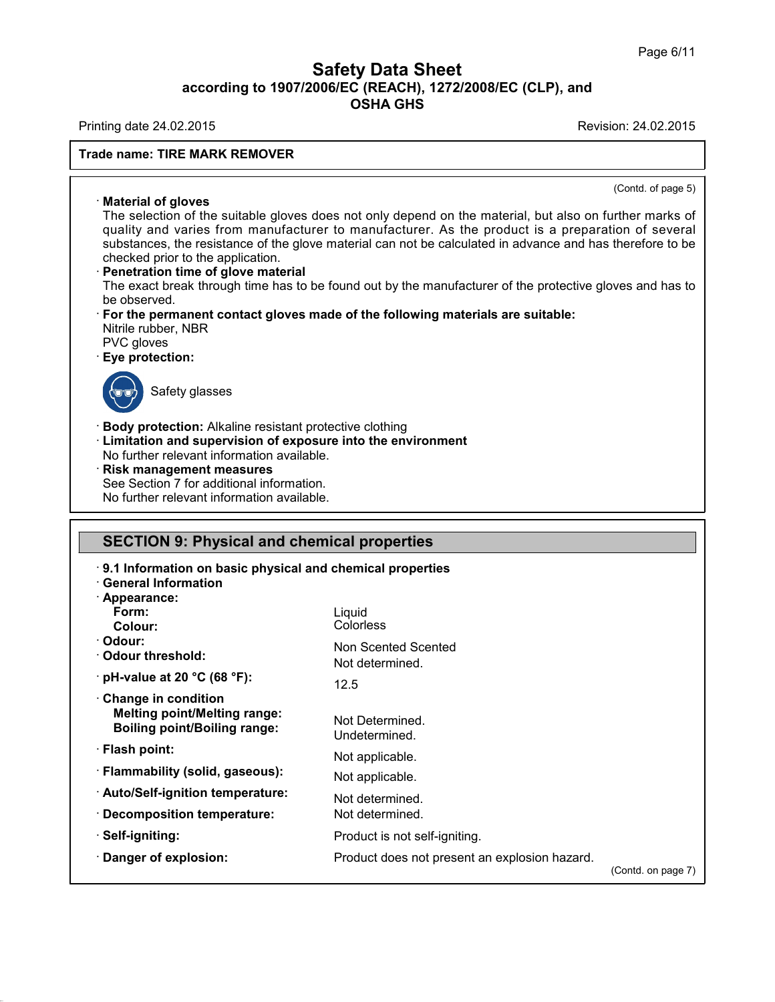### **Safety Data Sheet<br>006/EC (REACH), 1272/2008/EC (CLP),<br>OSHA GHS according to 1907/2006/EC (REACH), 1272/2008/EC (CLP), and<br>
OSHA GHS
COREE AREAGES** t<mark>y Data Sheet</mark><br>c (REACH), 1272/2008/E<br>OSHA GHS Safety Data Sheet<br>according to 1907/2006/EC (REACH), 1272/2008/EC (CLP), and<br>OSHA GHS<br>Revision: 24.02.2015<br>Revision: 24.02.2015

### **Trade name: TIRE MARK REMOVER**

 $\overline{$ <br>
(Contd. of page 5)

Material of gloves<br>
The selection of the suitable g<br>
unality and varies from man Material of gloves<br>
Material of gloves<br>
The selection of the suitable gloves does not only depend on the material, but also on further marks of<br>
quality and varies from manufacturer to manufacturer. As the product is a pre Material of gloves<br>
Material of gloves<br>
The selection of the suitable gloves does not only depend on the material, but also on further marks of<br>
quality and varies from manufacturer to manufacturer. As the product is a pre Material of gloves<br>The selection of the suitable gloves does not only depend on the material, but also on further marks of<br>quality and varies from manufacturer to manufacturer. As the product is a preparation of several<br>su **Concernal of gloves**<br>The selection of the suitable gloves does not<br>quality and varies from manufacturer to material<br>substances, the resistance of the glove material<br>checked prior to the application.<br>**Penetration time of g** The selection of the suitable gloves does not only depend on the material, but also on further marks of<br>quality and varies from manufacturer to manufacturer. As the product is a preparation of several<br>substances, the resis quality and varies from manufacturer to manufacturer. As the product is a preparation<br>substances, the resistance of the glove material can not be calculated in advance and has the<br>checked prior to the application.<br>**Penetra** 

checked prior to the application.<br>
Penetration time of glove material<br>
The exact break through time has to<br>
be observed.<br>
For the permanent contact gloves<br>
Nitrile rubber, NBR<br>
PVC gloves<br>
Eye protection: **Penetration time of glo**<br>The exact break through<br>be observed.<br>**For the permanent cor**<br>Nitrile rubber, NBR<br>PVC gloves<br>**Eye protection:** • **For the permanent contact gloves made of the following materials are suitable:**<br>Nitrile rubber, NBR<br>PVC gloves<br>• **Eye protection:**<br>Safety glasses permanent contact grow<br>bber, NBR<br>ves<br>safety glasses

> Liquid Colorless

12.5

Non Scented Scented Not determined.

Product is not self-igniting.

Not Determined. Undetermined. Not applicable. Not applicable. Not determined. Not determined.



**Eye protection:**<br>
Safety glasses<br> **Body protection:** Alkaline resistant protective clothing<br> **Limitation and supervision of exposure into the environment**<br>
No further relevant information available. **Example 3**<br> **Example 3**<br> **Example 3**<br> **Example 3**<br> **Limitation and supervision of exposure into the environment<br>
No further relevant information available.<br>
<b>Risk management measures** Safety glasses<br>
• **Body protection:** Alkaline resistant protective clote<br>
• **Limitation and supervision of exposure into the**<br>
• **Risk management measures**<br>
• **Risk management measures**<br>
• See Section 7 for additional info Body protection: Alkaline resistant protective clothing<br>
Limitation and supervision of exposure into the env<br>
No further relevant information available.<br> **Risk management measures**<br>
See Section 7 for additional information Body protection: Alkaline resistant protective clot<br>Limitation and supervision of exposure into th<br>No further relevant information available.<br>Risk management measures<br>See Section 7 for additional information.<br>No further re

### No lurther relevant information available.<br>
Risk management measures<br>
See Section 7 for additional information.<br>
No further relevant information available.<br>
SECTION 9: Physical and chemical properties<br>
9.1 Information on b **SECTION 9: Physical and chemical properties<br>• 9.1 Information on basic physical and chemical properties<br>• General Information<br>• Appearance: SECTION 9: Physical and<br>
9.1 Information on basic physical and<br>
- <b>Appearance:**<br>
Form:

- 
- 
- · **Appearance:**
- **Form:**
- **Colour:**
- · **Odour:**
- 

**Example 2018**<br>
• Appearance:<br>
Form:<br>
Colour:<br>
• Odour threshold:<br>
• pH-value at 20 °C (68 °F)

- Form:<br>
Colour:<br>
Odour:<br>
Odour threshold:<br>
pH-value at 20 °C (68 °F):<br>
Change in condition · Odour:<br>· Odour threshold:<br>· pH-value at 20 °C (68 °F):<br>· Change in condition<br>· Melting point/Melting range:<br>· Boiling point/Boiling range: **Mediatry Melting Point Preshold:**<br> **H-value at 20 °C (68 °F):**<br> **Melting point/Melting range:**<br> **Melting point/Melting range:**<br> **Melting point/Boiling range:**<br>
Meding point/Boiling range:<br>
Un **Boold Mineshold:**<br>**H-value at 20 °C (68 °F):**<br>**hange in condition**<br>**Melting point/Melting range:**<br>**Boiling point/Boiling range:**<br>**Roiling point:**<br>**Roiling range: • Change in condition<br>
Melting point/Melting range:<br>
Boiling point/Boiling range:<br>
• Flash point:<br>
• Flammability (solid, gaseous): Example In Condition**<br> **Melting point/Melting range:**<br> **Elash point:**<br> **Flammability (solid, gaseous):**<br> **Auto/Self-ignition temperature:**
- 
- 
- **Boiling point/Boiling range:**<br>• Flash point:<br>• Flammability (solid, gaseous):<br>• Auto/Self-ignition temperature:<br>• Decomposition temperature: · Flash point:<br>· Flammability (solid, gaseous):<br>· Auto/Self-ignition temperature:<br>· Decomposition temperature:<br>· Self-igniting:

**Auto/Self-ignition temperature**<br>• Decomposition temperature<br>• Self-igniting:<br>• Danger of explosion:

· **Self-igniting:**

40.1.0

Product does not present an explosion hazard.

(Contd. on page 7)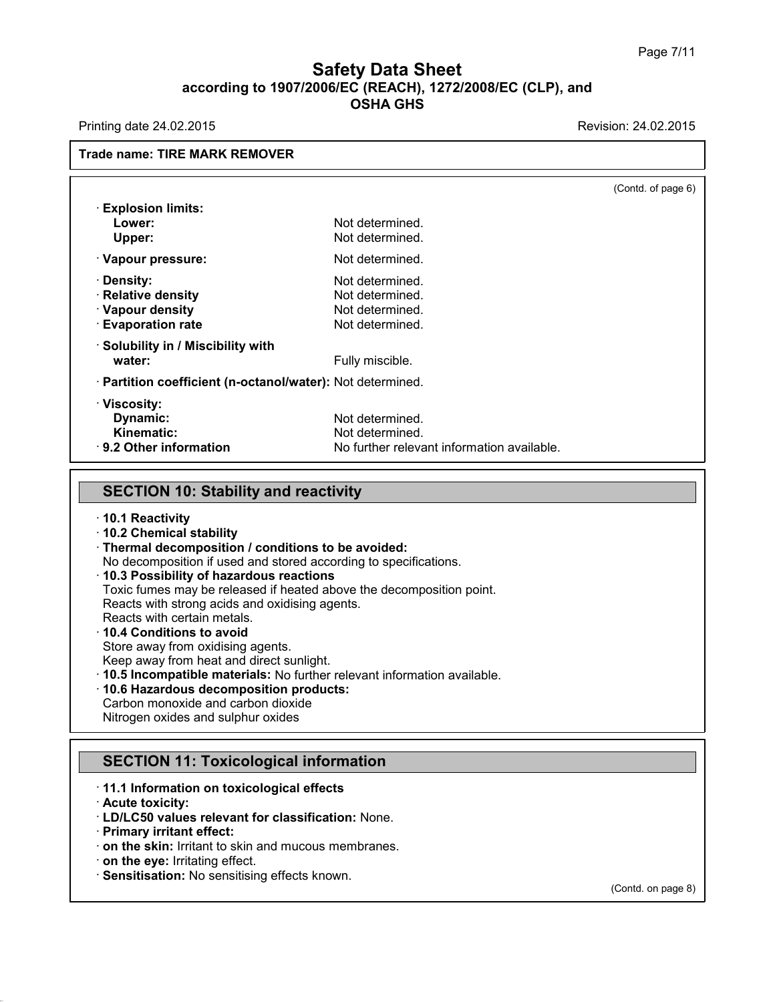### **Safety Data Sheet<br>006/EC (REACH), 1272/2008/EC (CLP),<br>OSHA GHS according to 1907/2006/EC (REACH), 1272/2008/EC (CLP), and<br>
Data Sheet (CLP), and<br>
OSHA GHS** t<mark>y Data Sheet</mark><br>c (REACH), 1272/2008/E<br>OSHA GHS Safety Data Sheet<br>according to 1907/2006/EC (REACH), 1272/2008/EC (CLP), and<br>OSHA GHS<br>Revision: 24.02.2015<br>Revision: 24.02.2015

|                                                            |                                            | (Contd. of page 6) |
|------------------------------------------------------------|--------------------------------------------|--------------------|
| <b>Explosion limits:</b>                                   |                                            |                    |
| Lower:                                                     | Not determined.                            |                    |
| Upper:                                                     | Not determined.                            |                    |
| · Vapour pressure:                                         | Not determined.                            |                    |
| · Density:                                                 | Not determined.                            |                    |
| · Relative density                                         | Not determined.                            |                    |
| · Vapour density                                           | Not determined.                            |                    |
| <b>Evaporation rate</b>                                    | Not determined.                            |                    |
| · Solubility in / Miscibility with                         |                                            |                    |
| water:                                                     | Fully miscible.                            |                    |
| · Partition coefficient (n-octanol/water): Not determined. |                                            |                    |
| · Viscosity:                                               |                                            |                    |
| Dynamic:                                                   | Not determined.                            |                    |
| <b>Kinematic:</b>                                          | Not determined.                            |                    |
| · 9.2 Other information                                    | No further relevant information available. |                    |

- · **10.1 Reactivity**
- · **10.2 Chemical stability**
- · **Thermal decomposition / conditions to be avoided:**
- No decomposition if used and stored according to specifications.
- · **10.3 Possibility of hazardous reactions**
- Toxic fumes may be released if heated above the decomposition point.

Reacts with strong acids and oxidising agents.

Reacts with certain metals.

### · **10.4 Conditions to avoid**

Store away from oxidising agents.

Keep away from heat and direct sunlight.

- · **10.5 Incompatible materials:** No further relevant information available.
- · **10.6 Hazardous decomposition products:**
- Carbon monoxide and carbon dioxide Nitrogen oxides and sulphur oxides **TO.5 Incompatible materials:** No lumber relevant information and the secomposition products:<br>Carbon monoxide and carbon dioxide<br>Nitrogen oxides and sulphur oxides<br>SECTION 11: Toxicological information<br>11.1 Information on

### Nitrogen oxides and sulphur oxides<br>
SECTION 11: Toxicological information<br> **11.1 Information on toxicological effects**<br> **Acute toxicity:**<br> **LD/LC50 values relevant for classification: None. SECTION 11: Toxico**<br> **Acute toxicity:**<br> **Acute toxicity:**<br> **Acute toxicity:**<br> **Acute toxicity:**<br> **Acute in the Televant**<br> **Primary irritant effect: SECTION 11: Toxicological information**<br>
• **11.1 Information on toxicological effects**<br>
• **LD/LC50 values relevant for classification:** None.<br>
• **Primary irritant effect:**<br>
• **on the skin:** Irritant to skin and mucous mem

- 
- 

40.1.0

- 
- 
- **11.1 Information on toxicological effects**<br> **CEO And EXECT And MUCOS CONSISTENT**<br> **Primary irritant effect:**<br> **CEO AND SENSITE CONSISTENT**<br> **CEO AND SENSITE CONSISTENT**<br> **CEO AND SENSITE CONSISTENT**<br> **CEO SENSITE CONSISTE**
- 
- 

(Contd. on page 8)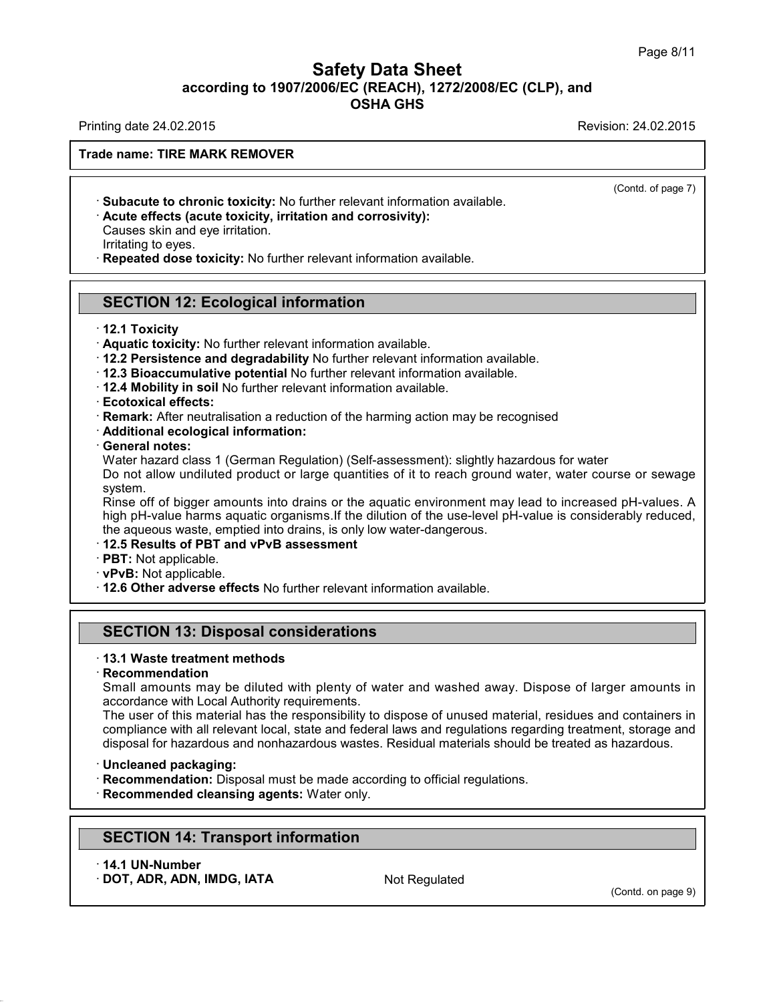### **Safety Data Sheet<br>006/EC (REACH), 1272/2008/EC (CLP),<br>OSHA GHS according to 1907/2006/EC (REACH), 1272/2008/EC (CLP), and<br>
Data Sheet (CLP), and<br>
OSHA GHS Safety Data Sheet**<br>according to 1907/2006/EC (REACH), 1272/2008/EC (CLP), and<br>OSHA GHS Safety Data Sheet<br>according to 1907/2006/EC (REACH), 1272/2008/EC (CLP), and<br>OSHA GHS<br>Revision: 24.02.2015<br>Revision: 24.02.2015

(Contd. of page 7)

### **Trade name: TIRE MARK REMOVER**

- Fining date 24.02.2015<br> **Comment COMPT ADEX CONTEX CONTEX CONTEX CONTEX CONTEX CONTEX CONTEX CONTEX CALCUTE Effects (acute toxicity, irritation and corrosivity):<br>
Causes skin and eye irritation.<br>
Irritating to eves.** · Subacute to chronic toxicity: No further relevant information available.
- 

**Acute effects (acute toxicity, irritation and corrosivity):**<br>Causes skin and eye irritation.<br>Irritating to eyes.<br>**Repeated dose toxicity:** No further relevant information available. Active effects (active toxicity, irritation and corrosivity):<br>Causes skin and eye irritation.<br>Irritating to eyes.<br>Repeated dose toxicity: No further relevant information averaged<br>SECTION 12: Ecological information<br>12.1 Tox

- **SECTION 12: Ecological information<br>
12.1 Toxicity<br>
· Aquatic toxicity: No further relevant information available.<br>
12.2 Persistence and degradability No further relevant information available.**
- 
- 
- 

SECTION 12: Ecological information<br>
12.1 Toxicity<br>
12.1 Toxicity<br>
12.2 Persistence and degradability No further relevant information available.<br>
12.2 Persistence and degradability No further relevant information available. • **Aquatic toxicity:** No further relevant information available.<br>
• **12.2 Persistence and degradability** No further relevant information available.<br>
• **12.3 Bioaccumulative potential** No further relevant information availa **• 12.3 Bioaccumulative potential No** further relevant information available.<br>
• **12.4 Mobility in soil No** further relevant information available.<br>
• **Ecotoxical effects:**<br>
• **Remark:** After neutralisation a reduction of

- 
- 

**Example 25 Bioaccumulative pote**<br> **Ecotoxical effects:**<br> **Remark:** After neutralisation<br> **Additional ecological information**<br> **General notes:**<br>
Water hazard class 1 (Germ<br>
Do not allow undiluted proof 12.4 Mobility in soil No further relevant information available.<br>Ecotoxical effects:<br>Remark: After neutralisation a reduction of the harming action may be recognised<br>Additional ecological information:<br>General notes:<br>Water Ecotoxical effects:<br>
Remark: After neutralisation a reduction of the harming action may be recognised<br>
Additional ecological information:<br>
General notes:<br>
Water hazard class 1 (German Regulation) (Self-assessment): slightl system.<br>Rinse off of bigger amounts into drains or the aquatic environment may lead to increased pH-values. A Additional ecological information:<br>
General notes:<br>
Water hazard class 1 (German Regulation) (Self-assessment): slightly hazardous for water<br>
Do not allow undiluted product or large quantities of it to reach ground water,

General notes:<br>Water hazard class 1 (German Regulation) (Self-assessment): slightly hazardous for water<br>Do not allow undiluted product or large quantities of it to reach ground water, water course or sewage<br>system.<br>Rinse o Water hazard class 1 (German Regulation) (Self-assessment): slightly haz<br>Do not allow undiluted product or large quantities of it to reach ground<br>system.<br>Rinse off of bigger amounts into drains or the aquatic environment m • Final Postem.<br>
Rinse off of bigger amounts into drains or the aquatic environment may lead<br>
high pH-value harms aquatic organisms. If the dilution of the use-level pH-value<br>
the aqueous waste, emptied into drains, is on

- 
- 
- **SECTION 13: Disposal considerations**<br> **SECTION 13: Disposal considerations**<br> **SECTION 13: Disposal considerations**<br> **SECTION 13: Disposal considerations**

### **SECTION 13: Disposal considerations**

### · **Recommendation**

SECTION 13: Disposal considerations<br>13.1 Waste treatment methods<br>Recommendation<br>Small amounts may be diluted with plenty of water and washed away. Dispose of larger amounts in<br>accordance with Local Authority requirements.<br> **SECTION 13: Disposal considerations**<br>13.1 Waste treatment methods<br>Recommendation<br>Small amounts may be diluted with plenty of wa<br>accordance with Local Authority requirements.<br>The user of this material has the responsibilit

13.1 Waste treatment methods<br>
Recommendation<br>
Small amounts may be diluted with plenty of water and washed away. Dispose of larger amounts in<br>
accordance with Local Authority requirements.<br>
The user of this material has th **13.1 Waste treatment methods**<br>**Recommendation**<br>Small amounts may be diluted with plenty of water and washed away. Dispose of larger amounts in<br>accordance with Local Authority requirements.<br>The user of this material has th Recommendation<br>
Small amounts may be diluted with plenty of water and washed away. Dispose of larger amounts in<br>
accordance with Local Authority requirements.<br>
The user of this material has the responsibility to dispose of Frequends with solutions, and the material has the responsibility to dispose of unused material, residual compliance with all relevant local, state and federal laws and regulations regarding disposal for hazardous and nonh

- Uncleaned packaging:<br>Recommendation: Disposal must be made according to disposal must be made according to disponent<br>Recommended cleansing agents: Water only.<br>SECTION 14: Transport information<br>14.1 UN-Number<br>Recording to t
- 

# **INCREDITION 14: Transfer<br>
SECTION 14: Trans<br>
14.1 UN-Number<br>
DOT, ADR, ADN, IMDG SECTION 14: Transport information**<br>14.1 UN-Number<br>DOT, ADR, ADN, IMDG, IATA Not Regulated

40.1.0

(Contd. on page 9)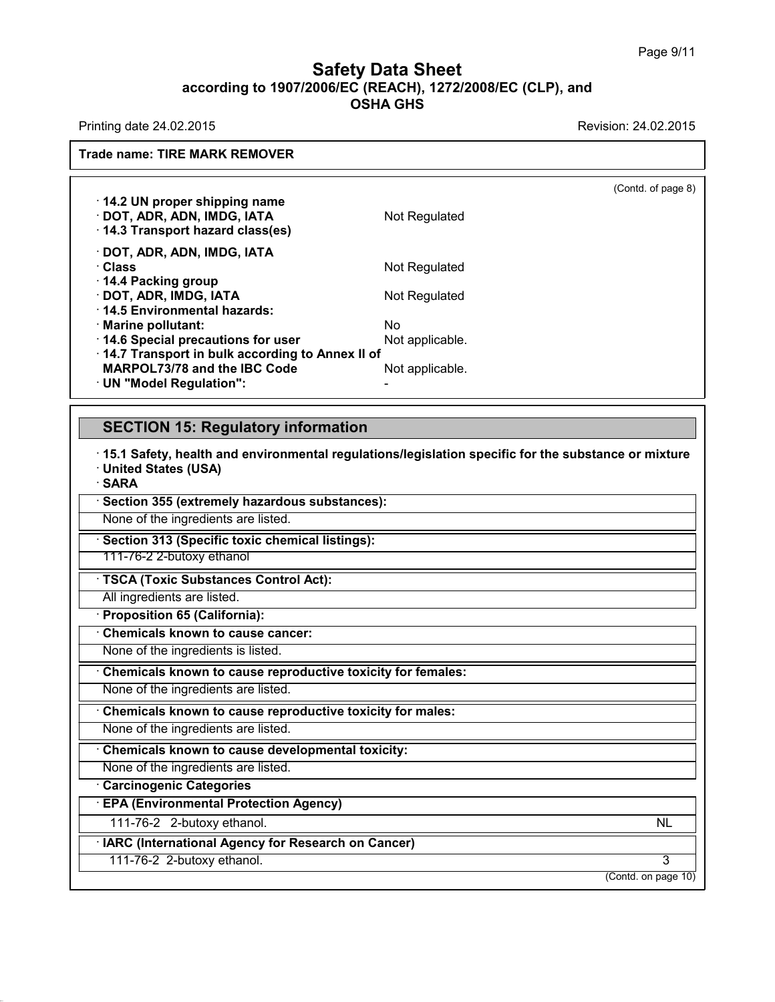### **Safety Data Sheet<br>006/EC (REACH), 1272/2008/EC (CLP),<br>OSHA GHS according to 1907/2006/EC (REACH), 1272/2008/EC (CLP), and<br>
Data Sheet (CLP), and<br>
OSHA GHS** t<mark>y Data Sheet</mark><br>c (REACH), 1272/2008/E<br>OSHA GHS Safety Data Sheet<br>according to 1907/2006/EC (REACH), 1272/2008/EC (CLP), and<br>OSHA GHS<br>Revision: 24.02.2015<br>Revision: 24.02.2015

**Trade name: TIRE MARK REMOVER**

 $\overline{$ <br>
(Contd. of page 8) **14.2 UN proper shipping name**<br> **14.2 UN proper shipping name**<br> **14.2 UN proper shipping name**<br> **14.3 Transport hazard class(es)** PRIMARY REMOVER<br> **DOT, ADR, ADN, IMDG, IATA**<br>
POT, ADR, ADN, IMDG, IATA<br>
POT, ADR, ADN, IMDG, IATA<br>
POT, ADR, ADN, IMDG, IATA<br>
POT, ADR, ADN, IMDG, IATA **14.2 UN proper shipping name**<br>• **14.2 UN proper shipping name**<br>• **DOT, ADR, ADN, IMDG, IATA**<br>• **14.3 Transport hazard class(es)**<br>• **DOT, ADR, ADN, IMDG, IATA** <sup>·</sup> 14.2 UN proper shipping name<br>· DOT, ADR, ADN, IMDG, IATA<br>· 14.3 Transport hazard class(es)<br>· DOT, ADR, ADN, IMDG, IATA<br>· Class<br>· 14.4 Packing group · **14.2 UN proper shipping name**<br>
· **DOT, ADR, ADN, IMDG, IATA** Mot Regulated<br>
· **14.3 Transport hazard class(es)**<br>
· **DOT, ADR, ADN, IMDG, IATA** Mot Regulated<br>
· **14.4 Packing group**<br>
· **POT ADB, IMDG, IATA** Mot Regulate · **DOT, ADR, ADN, IMDG, IATA**<br>· 14.3 Transport hazard class(es)<br>· **DOT, ADR, ADN, IMDG, IATA**<br>· Class<br>· 14.4 Packing group<br>· **DOT, ADR, IMDG, IATA**<br>· 14.5 Environmental hazards: **14.3 Transport hazard class(es)**<br> **· DOT, ADR, ADN, IMDG, IATA**<br> **· Class**<br> **· 14.4 Packing group**<br> **· DOT, ADR, IMDG, IATA**<br> **· 14.5 Environmental hazards:**<br>
· Marine pollutant:<br>
· Marine pollutant:<br>
· Mo · **DOT, ADR, ADN, IMDG, IATA**<br>· Class<br>· 14.4 Packing group<br>· **DOT, ADR, IMDG, IATA**<br>· 14.5 Environmental hazards:<br>· Marine pollutant:<br>· 14.6 Special precautions for user **Class**<br>
Mot Regulate<br>
14.4 Packing group<br> **DOT, ADR, IMDG, IATA**<br>
14.5 Environmental hazards:<br>
Marine pollutant:<br>
14.6 Special precautions for user<br>
14.7 Transport in bulk according to Annex II of · **14.4 Packing group**<br>
• **14.4 Packing group**<br>
• **DOT, ADR, IMDG, IATA**<br>
• **14.5 Environmental hazards:**<br>
• **Marine pollutant:**<br>
• **14.6 Special precautions for user**<br>
• **14.7 Transport in bulk according to Annex II of**<br> Mot Regulated<br>
Marine pollutant:<br> **Marine pollutant:**<br> **MARPOL73/78** and the IBC Code<br> **MARPOL73/78** and the IBC Code<br> **MARPOL73/78** and the IBC Code<br> **MARPOL73/78** and the IBC Code<br> **MARPOL73/78** and the IBC Code<br> **MARPOL** 

• **15.1 Safety, health and environmental regulations/legislation specific for the substance or mixture**<br>• 15.1 Safety, health and environmental regulations/legislation specific for the substance or mixture<br>• SARA **SECTION 15: Regulatory information**<br>
<sup>1</sup> 15.1 Safety, health and environmental regulation<br>
■ United States (USA)<br>
↑ SARA<br>
↑ Section 355 (extremely hazardous substances): · **SARA EXECTION 10: Regulatory information**<br>
15.1 Safety, health and environmental regulations/leg<br> **CRICION 355 (extremely hazardous substances):**<br>
None of the ingredients are listed. None of the ingredients are listed.<br>None of the ingredients are listed.<br>None of the ingredients are listed.<br>None of the ingredients are listed.<br>None of the ingredients are listed.<br>None of the ingredients are listed.<br>None o 111-76-2 2-butoxy ethanol None of the ingredients are listed.<br> **Section 313 (Specific toxic chemical listings):**<br>
111-76-2 2-butoxy ethanol<br> **TSCA (Toxic Substances Control Act):**<br>
All ingredients are listed.<br> **Proposition 65 (California):** All ingredients are listed.<br> **Example 111-76-2 2-butoxy ethanol**<br> **EXECA (Toxic Substances Control A**<br> **All ingredients are listed.**<br> **Proposition 65 (California):**<br> **Chemicals known to cause cancer: TSCA (Toxic Substances Control Act):**<br>
All ingredients are listed.<br> **Proposition 65 (California):**<br> **Chemicals known to cause cancer:**<br>
None of the ingredients is listed. TSCA (Toxic Substances Control Act):<br>
All ingredients are listed.<br> **• Proposition 65 (California):**<br>
• Chemicals known to cause cancer:<br>
None of the ingredients is listed.<br>
• Chemicals known to cause reproductive toxicity • **Chemicals known to cause cancer:**<br>• **Chemicals known to cause cancer:**<br>• **Chemicals known to cause reproductive toxicity for females:**<br>• None of the ingredients are listed.<br>• **Chemicals known to cause reproductive toxic** None of the ingredients is listed.<br> **· Chemicals known to cause reproductive toxicity for females:**<br>
None of the ingredients are listed.<br> **· Chemicals known to cause reproductive toxicity for males:**<br>
None of the ingredien **Example of the ingredients are listed.**<br> **Chemicals known to cause reproductive to:**<br> **Chemicals known to cause developmental t**<br>
None of the ingredients are listed.<br> **Carcinogenic Categories**<br> **EPA (Environmental Protect** • **Chemicals known to cause developmental toxicity:**<br>None of the ingredients are listed.<br>• **Carcinogenic Categories**<br>• **EPA (Environmental Protection Agency)**<br>111-76-2 2-butoxy ethanol.<br>• **IARC (International Agency for Re** 111-76-2 2-butoxy ethanol. NL • Carcinogenic Categories<br>• **EPA (Environmental Protection Agency)**<br>• 111-76-2 - 2-butoxy ethanol.<br>• **IARC (International Agency for Research on Cancer)**<br>• 111-76-2 -2-butoxy ethanol. NL<br>3<br>(Contd. on page 10)

111-76-2 2-butoxy ethanol. 3

40.1.0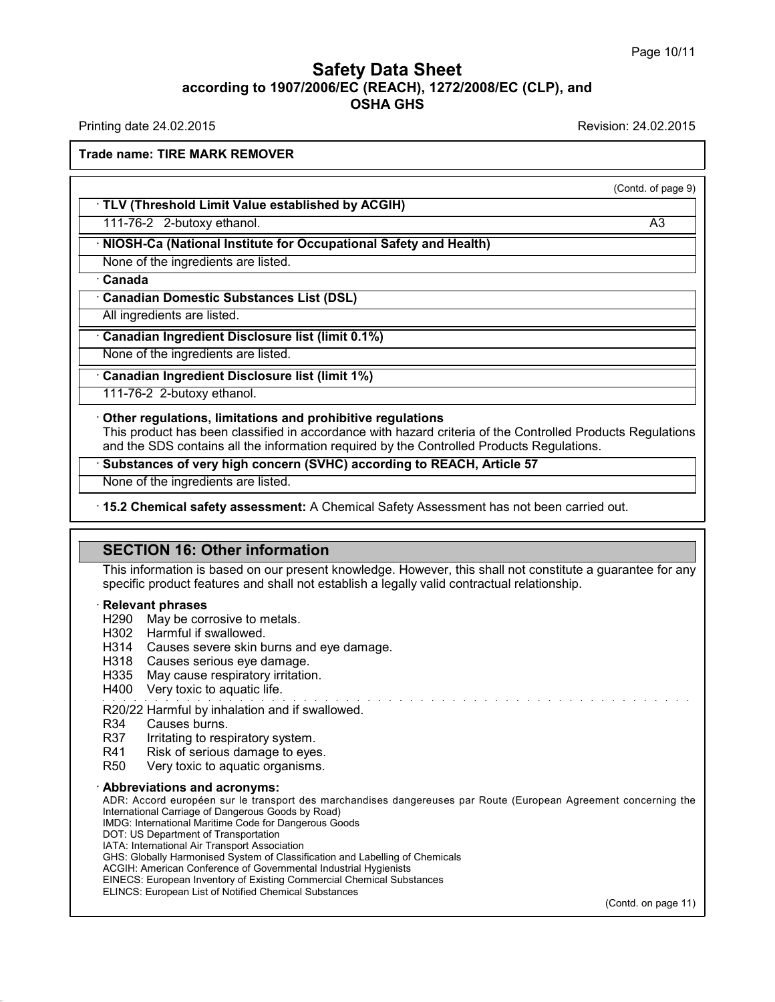### **Safety Data Sheet<br>006/EC (REACH), 1272/2008/EC (CLP),<br>OSHA GHS according to 1907/2006/EC (REACH), 1272/2008/EC (CLP), and<br>
Data Sheet (CLP), and<br>
OSHA GHS Safety Data Sheet**<br>according to 1907/2006/EC (REACH), 1272/2008/EC (CLP), and<br>OSHA GHS **Safety Data Sheet<br>
And Sheet**<br> **Printing date 24.02.2015**<br>
Printing date 24.02.2015<br>
Printing date 24.02.2015<br>
Revision: 24.02.2015<br>
Revision: 24.02.2015<br>
Revision: 24.02.2015

**Trade name: TIRE MARK REMOVER**

(Contd. of page 9)

**Example 18 TRING MARK REMOVER**<br>• TLV (Threshold Limit Value established by ACGIH)<br>111-76-2 2-butoxy ethanol. TLV (Threshold Limit Value established by Analyzing Chemical Controls.<br>111-76-2 2-butoxy ethanol.<br>**· NIOSH-Ca (National Institute for Occupation**<br>None of the ingredients are listed.<br>**· Canada** 

111-76-2 2-butoxy ethanol. A3

# **TLV (Threshold Limit Value established by ACGIH)**<br>111-76-2 2-butoxy ethanol.<br>NIOSH-Ca (National Institute for Occupational Safety and Health)<br>None of the ingredients are listed. • **NIOSH-Ca (National Institute for Occupational Safety a**<br>
None of the ingredients are listed.<br>
• **Canadian Domestic Substances List (DSL)**<br>
• All ingredients are listed. All ingredients are listed.<br> **All ingredients are listed.**<br> **Canadian Domestic Substances List (DSL)**<br>
All ingredients are listed.<br> **Canadian Ingredient Disclosure list (limit 0.1%)**<br>
None of the ingredients are listed.

# **Canadian Domestic Substances List (DSL)**<br>
All ingredients are listed.<br> **Canadian Ingredient Disclosure list (limit 0.1%)**<br>
None of the ingredients are listed.<br> **Canadian Ingredient Disclosure list (limit 1%)**<br>
111-76-2 2-

111-76-2 2-butoxy ethanol.

**Example 10** in the ingredients are listed.<br> **Canadian Ingredient Disclosure list (limit 1%)**<br>
111-76-2 2-butoxy ethanol.<br> **Cother regulations, limitations and prohibitive regulations**<br>
This product has been classified in This product has been classified in accordance with hazard criteria of the Controlled Products Regulations<br>
This product has been classified in accordance with hazard criteria of the Controlled Products Regulations<br>
and th **Canadian Ingredient Disclosure list (limit 1%)**<br>
111-76-2 2-butoxy ethanol.<br> **Contains all the information required by the Controlled Products Regulations.**<br> **Contains all the information required by the Controlled Produc** None of the ingredients are listed. This product has been classified in accordance with hazard criteria of the Controlled Products Regulations<br>
and the SDS contains all the information required by the Controlled Products

**Substances or very nigh concern (SVHC) according the interpedients are listed.**<br> **15.2 Chemical safety assessment:** A Chemical Safence II Safety assessment: A Chemical Safence II SecTION 16: Other information<br>
This inform This information is based on our present knowledge. However, this shall not constitute a guarantee for any specific product features and shall not establish a legally valid contractual relationship. **SECTION 16: Other information**<br>This information is based on our present knowledge. However, this shall not constitute a gual<br>specific product features and shall not establish a legally valid contractual relationship.<br>· **R SECTION 16: Other information**<br>This information is based on our present knowl<br>specific product features and shall not establish<br>**Relevant phrases**<br>H302 Harmful if swallowed.<br>H314 Causes severe skin burns and eve dam This information is based on our pres<br>specific product features and shall no<br>**Relevant phrases**<br>H290 May be corrosive to metals.<br>H302 Harmful if swallowed.<br>H314 Causes severe skin burns an<br>H318 Causes serious eve damage specific product features and shall not establish a legally valid contractual relationship.<br> **Relevant phrases**<br>
H290 May be corrosive to metals.<br>
H302 Harmful if swallowed.<br>
H314 Causes severe skin burns and eye damage.<br>

- 
- Relevant phrases<br>
H290 May be corrosive to metals.<br>
H302 Harmful if swallowed.<br>
H314 Causes severe skin burns and eye dam<br>
H318 Causes serious eye damage.<br>
H335 May cause respiratory irritation.<br>
H400 Very toxic to aquatic **Relevant phrases**<br>
H290 May be corrosive to metals.<br>
H302 Harmful if swallowed.<br>
H314 Causes severe skin burns and eye damag<br>
H318 Causes serious eye damage.<br>
H335 May cause respiratory irritation.<br>
H400 Very toxic to aqu H290 May be corrosive to metals.<br>
H302 Harmful if swallowed.<br>
H314 Causes severe skin burns and eye dam<br>
H318 Causes serious eye damage.<br>
H335 May cause respiratory irritation.<br>
H400 Very toxic to aquatic life.<br>
R20/22 Har H314 Causes severe skin burns and eye damage.<br>H318 Causes serious eye damage.<br>H335 May cause respiratory irritation.<br>H400 Very toxic to aquatic life.<br>R20/22 Harmful by inhalation and if swallowed.<br>R34 Causes burns.<br>R37 Irr
- 
- 
- 

Froto Causes sends eye damage.<br>
H335 May cause respiratory irritation.<br>
H400 Very toxic to aquatic life.<br>
R20/22 Harmful by inhalation and if swallowed.<br>
R34 Causes burns.<br>
R37 Irritating to respiratory system.<br>
R41 Risk o R33 May cause respiratory imitation.<br>R20/22 Harmful by inhalation and if swallowed.<br>R34 Causes burns.<br>R37 Irritating to respiratory system.<br>R41 Risk of serious damage to eyes.<br>R50 Very toxic to aquatic organisms.

40.1.0

- 
- H318 Causes serious eye damage.<br>
H335 May cause respiratory irritation.<br>
H400 Very toxic to aquatic life.<br>
R20/22 Harmful by inhalation and if swal<br>
R34 Causes burns.<br>
R37 Irritating to respiratory system.<br>
R41 Risk of ser
- 

R20/22 Harmful by inhalation and if swallowed.<br>R34 Causes burns.<br>R37 Irritating to respiratory system.<br>R41 Risk of serious damage to eyes.<br>R50 Very toxic to aquatic organisms.<br>**Abbreviations and acronyms:**<br>ADR: Accord euro Not initialing to respiratory system.<br>
R41 Risk of serious damage to eyes.<br>
R50 Very toxic to aquatic organisms.<br>
ADDR: Accord européen sur le transport des marchandises dangereuses par Route (European Agreement concerning R41 RISK OF Serious damage to eyes.<br>
R50 Very toxic to aquatic organisms.<br> **Abbreviations and acronyms:**<br>
ADR: Accord européen sur le transport des marchandises d<br>
International Carriage of Dangerous Goods by Road)<br>
INDG: R50 Very toxic to aquatic organisms.<br> **Abbreviations and acronyms:**<br>
ADR: Accord européen sur le transport des marchandises dang<br>
International Carriage of Dangerous Goods by Road)<br>
IMDG: International Maritime Code for Da **Abbreviations and acronyms:**<br>ADR: Accord européen sur le transport des<br>International Carriage of Dangerous Goods by R<br>IMDG: International Maritime Code for Dangerou<br>DOT: US Department of Transport Association<br>IATA: Intern ADDreVIations and acronyms:<br>
ADR: Accord européen sur le transport des marc<br>
International Carriage of Dangerous Goods by Road)<br>
IMDG: International Maritime Code for Dangerous Goo<br>
DOT: US Department of Transport Associat International Carriage of Dangerous Goods by Road)<br>
IMDG: International Maritime Code for Dangerous Goods<br>
DOT: US Department of Transportation<br>
IATA: International Air Transport Association<br>
GHS: Globally Harmonised Syste International Carriage of Dangerous Goods by Road)<br>IMDG: International Maritime Code for Dangerous Goods<br>DOT: US Department of Transportation<br>IATA: International Air Transport Association<br>GHS: Globally Harmonised System of

- IMDG: International Maritime Code for Dangerous Goods<br>DOT: US Department of Transportation<br>IATA: International Air Transport Association<br>GHS: Globally Harmonised System of Classification and Labelling of Chemicals<br>ACGIH: A DOT: US Department of Transportation<br>IATA: International Air Transport Association<br>GHS: Globally Harmonised System of Classification and Labelling<br>ACGIH: American Conference of Governmental Industrial Hygien<br>EINECS: Europe
- 
- 

(Contd. on page 11)